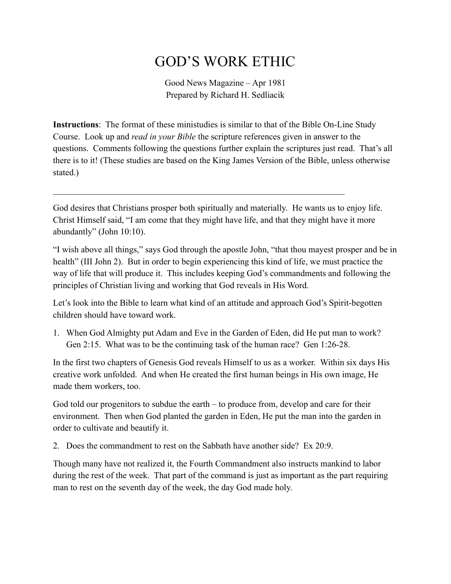## GOD'S WORK ETHIC

Good News Magazine – Apr 1981 Prepared by Richard H. Sedliacik

**Instructions**: The format of these ministudies is similar to that of the Bible On-Line Study Course. Look up and *read in your Bible* the scripture references given in answer to the questions. Comments following the questions further explain the scriptures just read. That's all there is to it! (These studies are based on the King James Version of the Bible, unless otherwise stated.)

God desires that Christians prosper both spiritually and materially. He wants us to enjoy life. Christ Himself said, "I am come that they might have life, and that they might have it more abundantly" (John 10:10).

 $\mathcal{L}_\mathcal{L} = \mathcal{L}_\mathcal{L} = \mathcal{L}_\mathcal{L} = \mathcal{L}_\mathcal{L} = \mathcal{L}_\mathcal{L} = \mathcal{L}_\mathcal{L} = \mathcal{L}_\mathcal{L} = \mathcal{L}_\mathcal{L} = \mathcal{L}_\mathcal{L} = \mathcal{L}_\mathcal{L} = \mathcal{L}_\mathcal{L} = \mathcal{L}_\mathcal{L} = \mathcal{L}_\mathcal{L} = \mathcal{L}_\mathcal{L} = \mathcal{L}_\mathcal{L} = \mathcal{L}_\mathcal{L} = \mathcal{L}_\mathcal{L}$ 

"I wish above all things," says God through the apostle John, "that thou mayest prosper and be in health" (III John 2). But in order to begin experiencing this kind of life, we must practice the way of life that will produce it. This includes keeping God's commandments and following the principles of Christian living and working that God reveals in His Word.

Let's look into the Bible to learn what kind of an attitude and approach God's Spirit-begotten children should have toward work.

1. When God Almighty put Adam and Eve in the Garden of Eden, did He put man to work? Gen 2:15. What was to be the continuing task of the human race? Gen 1:26-28.

In the first two chapters of Genesis God reveals Himself to us as a worker. Within six days His creative work unfolded. And when He created the first human beings in His own image, He made them workers, too.

God told our progenitors to subdue the earth – to produce from, develop and care for their environment. Then when God planted the garden in Eden, He put the man into the garden in order to cultivate and beautify it.

2. Does the commandment to rest on the Sabbath have another side? Ex 20:9.

Though many have not realized it, the Fourth Commandment also instructs mankind to labor during the rest of the week. That part of the command is just as important as the part requiring man to rest on the seventh day of the week, the day God made holy.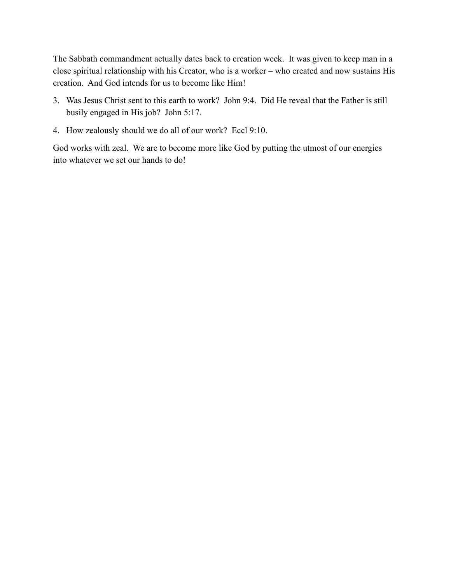The Sabbath commandment actually dates back to creation week. It was given to keep man in a close spiritual relationship with his Creator, who is a worker – who created and now sustains His creation. And God intends for us to become like Him!

- 3. Was Jesus Christ sent to this earth to work? John 9:4. Did He reveal that the Father is still busily engaged in His job? John 5:17.
- 4. How zealously should we do all of our work? Eccl 9:10.

God works with zeal. We are to become more like God by putting the utmost of our energies into whatever we set our hands to do!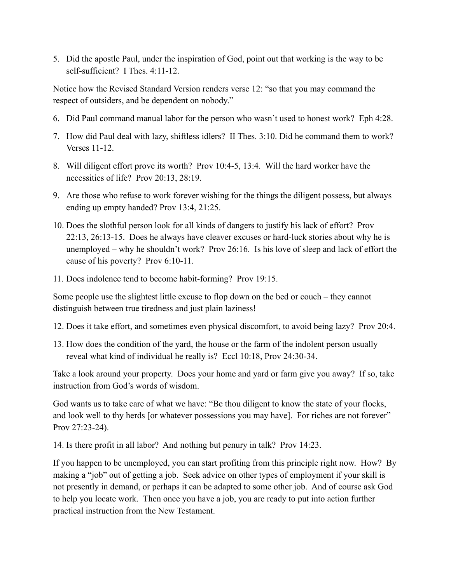5. Did the apostle Paul, under the inspiration of God, point out that working is the way to be self-sufficient? I Thes. 4:11-12.

Notice how the Revised Standard Version renders verse 12: "so that you may command the respect of outsiders, and be dependent on nobody."

- 6. Did Paul command manual labor for the person who wasn't used to honest work? Eph 4:28.
- 7. How did Paul deal with lazy, shiftless idlers? II Thes. 3:10. Did he command them to work? Verses 11-12.
- 8. Will diligent effort prove its worth? Prov 10:4-5, 13:4. Will the hard worker have the necessities of life? Prov 20:13, 28:19.
- 9. Are those who refuse to work forever wishing for the things the diligent possess, but always ending up empty handed? Prov 13:4, 21:25.
- 10. Does the slothful person look for all kinds of dangers to justify his lack of effort? Prov 22:13, 26:13-15. Does he always have cleaver excuses or hard-luck stories about why he is unemployed – why he shouldn't work? Prov 26:16. Is his love of sleep and lack of effort the cause of his poverty? Prov 6:10-11.
- 11. Does indolence tend to become habit-forming? Prov 19:15.

Some people use the slightest little excuse to flop down on the bed or couch – they cannot distinguish between true tiredness and just plain laziness!

- 12. Does it take effort, and sometimes even physical discomfort, to avoid being lazy? Prov 20:4.
- 13. How does the condition of the yard, the house or the farm of the indolent person usually reveal what kind of individual he really is? Eccl 10:18, Prov 24:30-34.

Take a look around your property. Does your home and yard or farm give you away? If so, take instruction from God's words of wisdom.

God wants us to take care of what we have: "Be thou diligent to know the state of your flocks, and look well to thy herds [or whatever possessions you may have]. For riches are not forever" Prov 27:23-24).

14. Is there profit in all labor? And nothing but penury in talk? Prov 14:23.

If you happen to be unemployed, you can start profiting from this principle right now. How? By making a "job" out of getting a job. Seek advice on other types of employment if your skill is not presently in demand, or perhaps it can be adapted to some other job. And of course ask God to help you locate work. Then once you have a job, you are ready to put into action further practical instruction from the New Testament.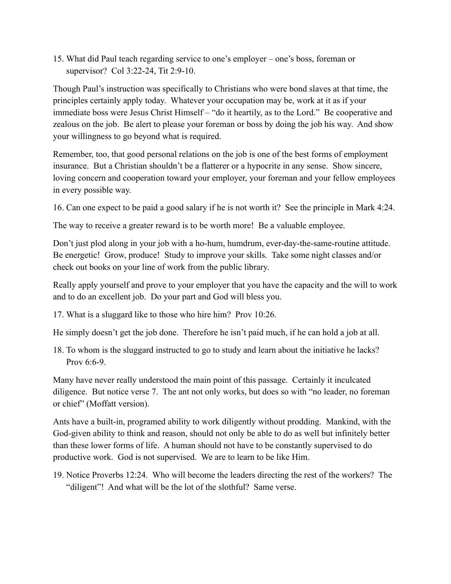15. What did Paul teach regarding service to one's employer – one's boss, foreman or supervisor? Col 3:22-24, Tit 2:9-10.

Though Paul's instruction was specifically to Christians who were bond slaves at that time, the principles certainly apply today. Whatever your occupation may be, work at it as if your immediate boss were Jesus Christ Himself – "do it heartily, as to the Lord." Be cooperative and zealous on the job. Be alert to please your foreman or boss by doing the job his way. And show your willingness to go beyond what is required.

Remember, too, that good personal relations on the job is one of the best forms of employment insurance. But a Christian shouldn't be a flatterer or a hypocrite in any sense. Show sincere, loving concern and cooperation toward your employer, your foreman and your fellow employees in every possible way.

16. Can one expect to be paid a good salary if he is not worth it? See the principle in Mark 4:24.

The way to receive a greater reward is to be worth more! Be a valuable employee.

Don't just plod along in your job with a ho-hum, humdrum, ever-day-the-same-routine attitude. Be energetic! Grow, produce! Study to improve your skills. Take some night classes and/or check out books on your line of work from the public library.

Really apply yourself and prove to your employer that you have the capacity and the will to work and to do an excellent job. Do your part and God will bless you.

17. What is a sluggard like to those who hire him? Prov 10:26.

He simply doesn't get the job done. Therefore he isn't paid much, if he can hold a job at all.

18. To whom is the sluggard instructed to go to study and learn about the initiative he lacks? Prov  $6.6-9$ .

Many have never really understood the main point of this passage. Certainly it inculcated diligence. But notice verse 7. The ant not only works, but does so with "no leader, no foreman or chief" (Moffatt version).

Ants have a built-in, programed ability to work diligently without prodding. Mankind, with the God-given ability to think and reason, should not only be able to do as well but infinitely better than these lower forms of life. A human should not have to be constantly supervised to do productive work. God is not supervised. We are to learn to be like Him.

19. Notice Proverbs 12:24. Who will become the leaders directing the rest of the workers? The "diligent"! And what will be the lot of the slothful? Same verse.